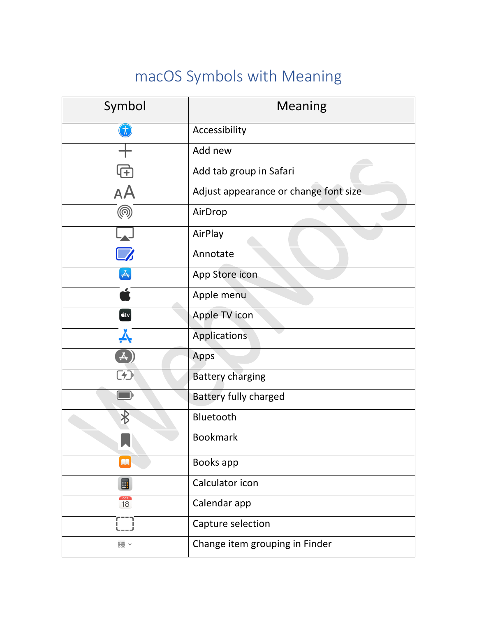## macOS Symbols with Meaning

| Symbol                       | <b>Meaning</b>                        |
|------------------------------|---------------------------------------|
|                              | Accessibility                         |
|                              | Add new                               |
| ஈ                            | Add tab group in Safari               |
| AA                           | Adjust appearance or change font size |
| @                            | AirDrop                               |
|                              | AirPlay                               |
|                              | Annotate                              |
| ㅅ                            | App Store icon                        |
|                              | Apple menu                            |
| $\text{stv}$                 | Apple TV icon                         |
|                              | <b>Applications</b>                   |
|                              | Apps                                  |
| ⊂≁⊃                          | <b>Battery charging</b>               |
|                              | <b>Battery fully charged</b>          |
| ା୫                           | Bluetooth                             |
|                              | <b>Bookmark</b>                       |
| m                            | Books app                             |
| 圛                            | Calculator icon                       |
| $rac{1}{18}$                 | Calendar app                          |
|                              | Capture selection                     |
| $rac{1}{\sqrt{1000}}$ $\sim$ | Change item grouping in Finder        |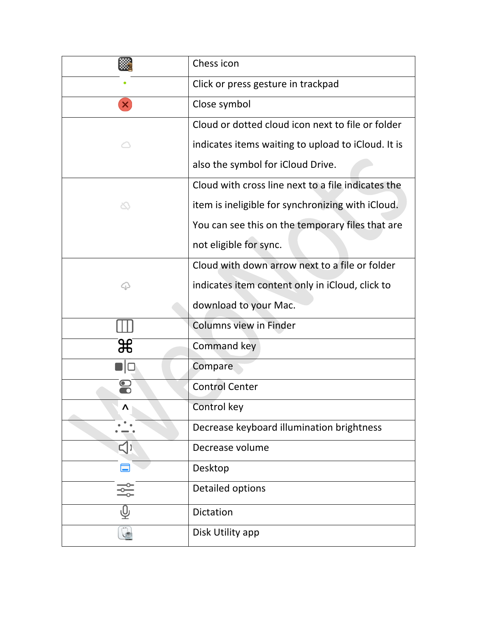|                | Chess icon                                         |
|----------------|----------------------------------------------------|
|                | Click or press gesture in trackpad                 |
| ×              | Close symbol                                       |
|                | Cloud or dotted cloud icon next to file or folder  |
|                | indicates items waiting to upload to iCloud. It is |
|                | also the symbol for iCloud Drive.                  |
|                | Cloud with cross line next to a file indicates the |
| ∞              | item is ineligible for synchronizing with iCloud.  |
|                | You can see this on the temporary files that are   |
|                | not eligible for sync.                             |
|                | Cloud with down arrow next to a file or folder     |
| ♤              | indicates item content only in iCloud, click to    |
|                | download to your Mac.                              |
|                | <b>Columns view in Finder</b>                      |
| ₩              | Command key                                        |
| $\blacksquare$ | Compare                                            |
|                | <b>Control Center</b>                              |
| Λ              | Control key                                        |
|                | Decrease keyboard illumination brightness          |
| 디)             | Decrease volume                                    |
|                | Desktop                                            |
|                | Detailed options                                   |
| ழ              | Dictation                                          |
|                | Disk Utility app                                   |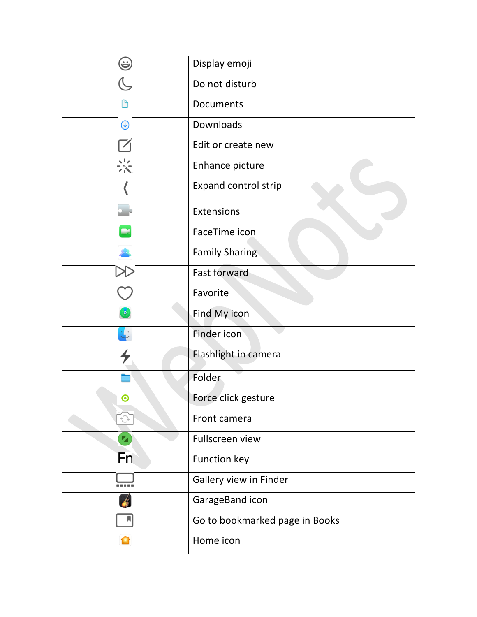| Ξ          | Display emoji                  |
|------------|--------------------------------|
|            | Do not disturb                 |
|            | <b>Documents</b>               |
| $\bigcirc$ | Downloads                      |
|            | Edit or create new             |
| 苶          | Enhance picture                |
|            | Expand control strip           |
|            | Extensions                     |
|            | FaceTime icon                  |
|            | <b>Family Sharing</b>          |
|            | <b>Fast forward</b>            |
|            | Favorite                       |
|            | Find My icon                   |
|            | Finder icon                    |
|            | Flashlight in camera           |
|            | Folder                         |
| ◉          | Force click gesture            |
|            | Front camera                   |
|            | <b>Fullscreen view</b>         |
| Fn         | Function key                   |
|            | Gallery view in Finder         |
|            | GarageBand icon                |
|            | Go to bookmarked page in Books |
|            | Home icon                      |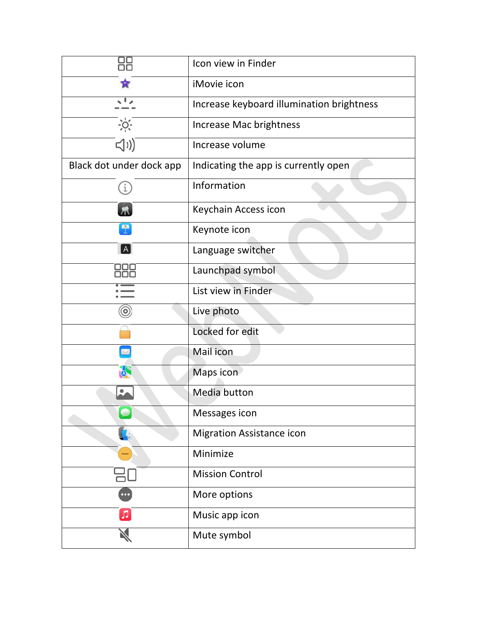| ŌΟ                       | Icon view in Finder                       |
|--------------------------|-------------------------------------------|
|                          | iMovie icon                               |
|                          | Increase keyboard illumination brightness |
| $\frac{1}{2}$            | Increase Mac brightness                   |
| <(1)                     | Increase volume                           |
| Black dot under dock app | Indicating the app is currently open      |
|                          | Information                               |
|                          | Keychain Access icon                      |
|                          | Keynote icon                              |
| $\mathsf{A}$             | Language switcher                         |
|                          | Launchpad symbol                          |
|                          | List view in Finder                       |
| $\circledcirc$           | Live photo                                |
|                          | Locked for edit                           |
|                          | Mail icon                                 |
|                          | Maps icon                                 |
|                          | Media button                              |
|                          | Messages icon                             |
|                          | <b>Migration Assistance icon</b>          |
|                          | Minimize                                  |
|                          | <b>Mission Control</b>                    |
|                          | More options                              |
| л                        | Music app icon                            |
|                          | Mute symbol                               |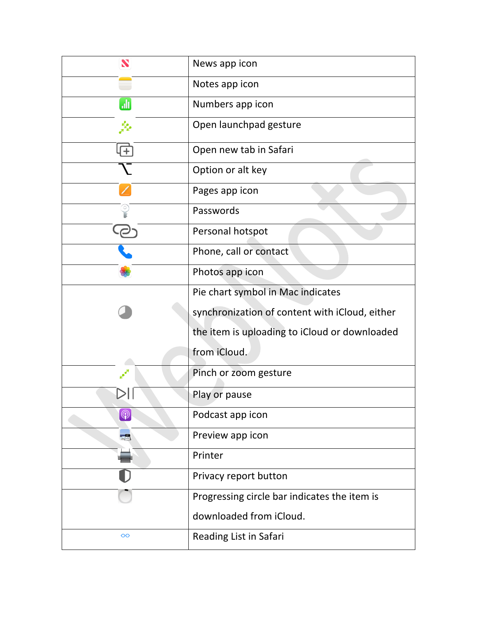| S               | News app icon                                  |
|-----------------|------------------------------------------------|
|                 | Notes app icon                                 |
| uli)            | Numbers app icon                               |
| مدحمتي          | Open launchpad gesture                         |
|                 | Open new tab in Safari                         |
|                 | Option or alt key                              |
|                 | Pages app icon                                 |
|                 | Passwords                                      |
|                 | Personal hotspot                               |
|                 | Phone, call or contact                         |
|                 | Photos app icon                                |
|                 | Pie chart symbol in Mac indicates              |
|                 | synchronization of content with iCloud, either |
|                 | the item is uploading to iCloud or downloaded  |
|                 | from iCloud.                                   |
|                 | Pinch or zoom gesture                          |
|                 | Play or pause                                  |
| $\circledcirc$  | Podcast app icon                               |
|                 | Preview app icon                               |
|                 | Printer                                        |
|                 | Privacy report button                          |
|                 | Progressing circle bar indicates the item is   |
|                 | downloaded from iCloud.                        |
| $\overline{O}O$ | Reading List in Safari                         |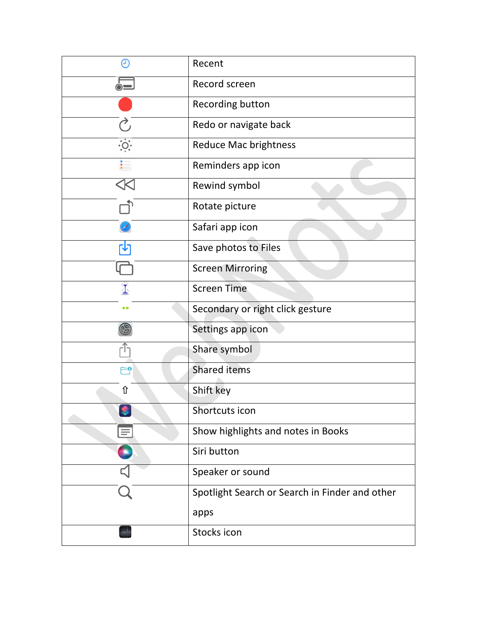|                   | Recent                                         |
|-------------------|------------------------------------------------|
| $\dot{\circ}$ $=$ | Record screen                                  |
|                   | Recording button                               |
|                   | Redo or navigate back                          |
| $\ddot{\circ}$    | <b>Reduce Mac brightness</b>                   |
|                   | Reminders app icon                             |
|                   | Rewind symbol                                  |
|                   | Rotate picture                                 |
|                   | Safari app icon                                |
|                   | Save photos to Files                           |
|                   | <b>Screen Mirroring</b>                        |
|                   | <b>Screen Time</b>                             |
| $\bullet$         | Secondary or right click gesture               |
|                   | Settings app icon                              |
|                   | Share symbol                                   |
| ۴ِ⊖               | <b>Shared items</b>                            |
| ⇧                 | Shift key                                      |
|                   | Shortcuts icon                                 |
|                   | Show highlights and notes in Books             |
|                   | Siri button                                    |
|                   | Speaker or sound                               |
|                   | Spotlight Search or Search in Finder and other |
|                   | apps                                           |
|                   | Stocks icon                                    |